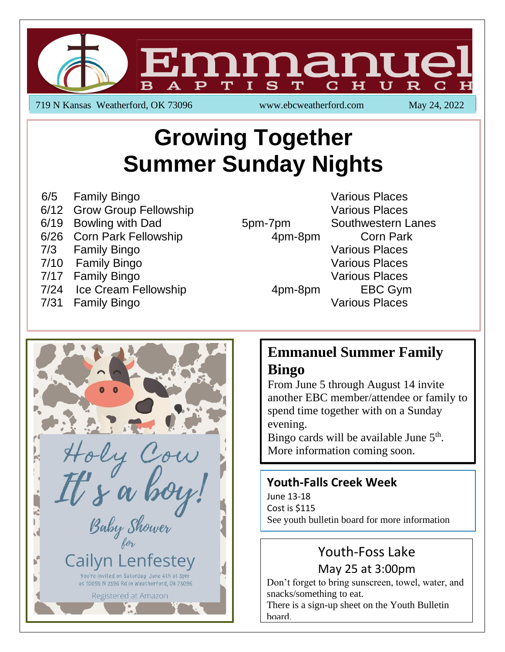

719 N Kansas Weatherford, OK 73096 www.ebcweatherford.com May 24, 2022

# **Growing Together Summer Sunday Nights**

- 6/5 Family Bingo **Various Places** Various Places
- 6/12 Grow Group Fellowship Contract Contract Contract Contract Various Places
- 6/19 Bowling with Dad 5pm-7pm Southwestern Lanes
- 6/26 Corn Park Fellowship **4pm-8pm** Corn Park
- 7/3 Family Bingo **Various Places** Various Places
- 7/10 Family Bingo **Various Places** Various Places
- 7/17 Family Bingo **Various Places** Various Places
- 7/24 Ice Cream Fellowship **4pm-8pm** EBC Gym
- 7/31 Family Bingo **Various Places** Various Places



### **Emmanuel Summer Family Bingo**

From June 5 through August 14 invite another EBC member/attendee or family to spend time together with on a Sunday evening.

Bingo cards will be available June  $5<sup>th</sup>$ . More information coming soon.

#### **Youth-Falls Creek Week**

June 13-18 Cost is \$115 See youth bulletin board for more information

## Youth-Foss Lake May 25 at 3:00pm

Don't forget to bring sunscreen, towel, water, and snacks/something to eat.

There is a sign-up sheet on the Youth Bulletin board.